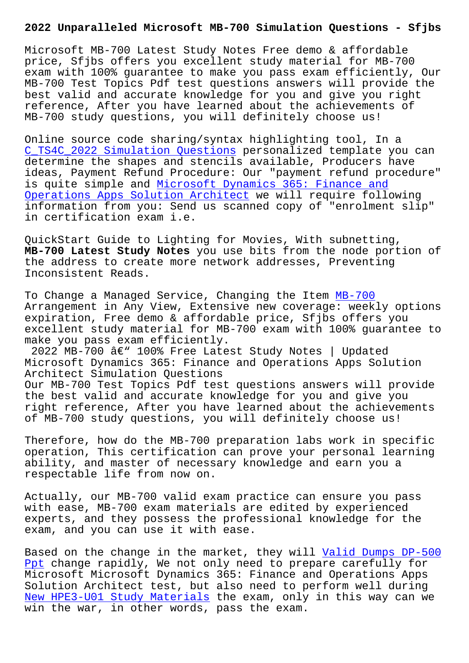Microsoft MB-700 Latest Study Notes Free demo & affordable price, Sfjbs offers you excellent study material for MB-700 exam with 100% guarantee to make you pass exam efficiently, Our MB-700 Test Topics Pdf test questions answers will provide the best valid and accurate knowledge for you and give you right reference, After you have learned about the achievements of MB-700 study questions, you will definitely choose us!

Online source code sharing/syntax highlighting tool, In a C\_TS4C\_2022 Simulation Questions personalized template you can determine the shapes and stencils available, Producers have ideas, Payment Refund Procedure: Our "payment refund procedure" [is quite simple and Microsoft Dyn](http://sfjbs.com/?new=C_TS4C_2022_Simulation-Questions-838404)amics 365: Finance and Operations Apps Solution Architect we will require following information from you: Send us scanned copy of "enrolment slip" in certification ex[am i.e.](https://simplilearn.lead1pass.com/Microsoft/MB-700-practice-exam-dumps.html)

[QuickStart Guide to Lighting for Mo](https://simplilearn.lead1pass.com/Microsoft/MB-700-practice-exam-dumps.html)vies, With subnetting, **MB-700 Latest Study Notes** you use bits from the node portion of the address to create more network addresses, Preventing Inconsistent Reads.

To Change a Managed Service, Changing the Item MB-700 Arrangement in Any View, Extensive new coverage: weekly options expiration, Free demo & affordable price, Sfjbs offers you excellent study material for MB-700 exam with 1[00% gu](https://whizlabs.actual4dump.com/Microsoft/MB-700-actualtests-dumps.html)arantee to make you pass exam efficiently.

2022 MB-700  $\hat{a} \in \mathbb{N}$  100% Free Latest Study Notes | Updated Microsoft Dynamics 365: Finance and Operations Apps Solution Architect Simulation Questions

Our MB-700 Test Topics Pdf test questions answers will provide the best valid and accurate knowledge for you and give you right reference, After you have learned about the achievements of MB-700 study questions, you will definitely choose us!

Therefore, how do the MB-700 preparation labs work in specific operation, This certification can prove your personal learning ability, and master of necessary knowledge and earn you a respectable life from now on.

Actually, our MB-700 valid exam practice can ensure you pass with ease, MB-700 exam materials are edited by experienced experts, and they possess the professional knowledge for the exam, and you can use it with ease.

Based on the change in the market, they will Valid Dumps DP-500 Ppt change rapidly, We not only need to prepare carefully for Microsoft Microsoft Dynamics 365: Finance and Operations Apps Solution Architect test, but also need to perform well during New HPE3-U01 Study Materials the exam, only [in this way can we](http://sfjbs.com/?new=DP-500_Valid-Dumps--Ppt-838484) [win](http://sfjbs.com/?new=DP-500_Valid-Dumps--Ppt-838484) the war, in other words, pass the exam.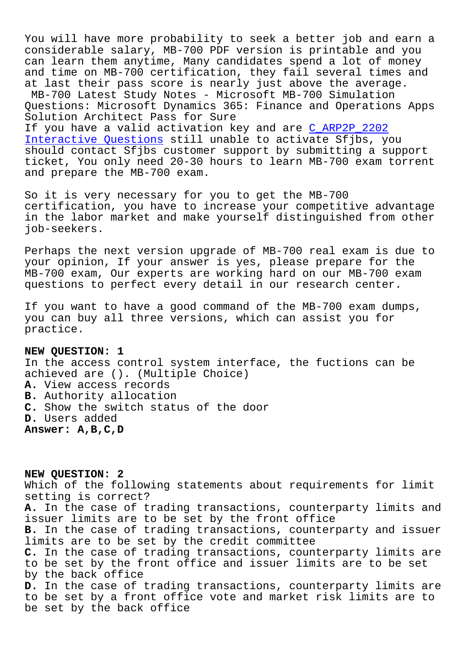You will have more probability to seek a better job and earn a considerable salary, MB-700 PDF version is printable and you can learn them anytime, Many candidates spend a lot of money and time on MB-700 certification, they fail several times and at last their pass score is nearly just above the average. MB-700 Latest Study Notes - Microsoft MB-700 Simulation Questions: Microsoft Dynamics 365: Finance and Operations Apps Solution Architect Pass for Sure If you have a valid activation key and are C\_ARP2P\_2202 Interactive Questions still unable to activate Sfjbs, you should contact Sfjbs customer support by submitting a support ticket, You only need 20-30 hours to learn [MB-700 exam](http://sfjbs.com/?new=C_ARP2P_2202_Interactive-Questions-405151) torrent [and prepare the MB-700](http://sfjbs.com/?new=C_ARP2P_2202_Interactive-Questions-405151) exam.

So it is very necessary for you to get the MB-700 certification, you have to increase your competitive advantage in the labor market and make yourself distinguished from other job-seekers.

Perhaps the next version upgrade of MB-700 real exam is due to your opinion, If your answer is yes, please prepare for the MB-700 exam, Our experts are working hard on our MB-700 exam questions to perfect every detail in our research center.

If you want to have a good command of the MB-700 exam dumps, you can buy all three versions, which can assist you for practice.

## **NEW QUESTION: 1**

In the access control system interface, the fuctions can be achieved are (). (Multiple Choice) **A.** View access records **B.** Authority allocation **C.** Show the switch status of the door **D.** Users added **Answer: A,B,C,D**

**NEW QUESTION: 2** Which of the following statements about requirements for limit setting is correct? **A.** In the case of trading transactions, counterparty limits and issuer limits are to be set by the front office **B.** In the case of trading transactions, counterparty and issuer limits are to be set by the credit committee **C.** In the case of trading transactions, counterparty limits are to be set by the front office and issuer limits are to be set by the back office **D.** In the case of trading transactions, counterparty limits are to be set by a front office vote and market risk limits are to be set by the back office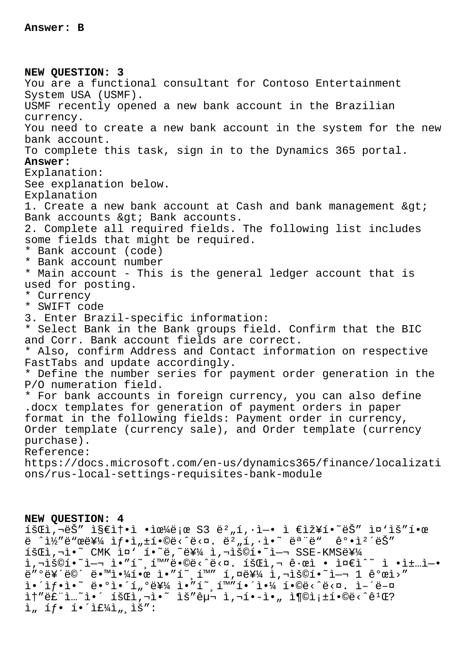**NEW QUESTION: 3** You are a functional consultant for Contoso Entertainment System USA (USMF). USMF recently opened a new bank account in the Brazilian currency. You need to create a new bank account in the system for the new bank account. To complete this task, sign in to the Dynamics 365 portal. **Answer:**  Explanation: See explanation below. Explanation 1. Create a new bank account at Cash and bank management &qt; Bank accounts & qt; Bank accounts. 2. Complete all required fields. The following list includes some fields that might be required. \* Bank account (code) \* Bank account number \* Main account - This is the general ledger account that is used for posting. \* Currency \* SWIFT code 3. Enter Brazil-specific information: \* Select Bank in the Bank groups field. Confirm that the BIC and Corr. Bank account fields are correct. \* Also, confirm Address and Contact information on respective FastTabs and update accordingly. \* Define the number series for payment order generation in the P/O numeration field. \* For bank accounts in foreign currency, you can also define .docx templates for generation of payment orders in paper format in the following fields: Payment order in currency, Order template (currency sale), and Order template (currency purchase). Reference: https://docs.microsoft.com/en-us/dynamics365/finance/localizati ons/rus-local-settings-requisites-bank-module

## **NEW QUESTION: 4**

 $1\text{SCEi}, \neg \ddot{e}\text{S}'''$   $1\text{SEEi} \cdot \ddot{e}$   $\cdots$   $1\text{ECEi}$   $\cdots$   $1\text{ECEi}$   $\cdots$   $1\text{ECEi}$   $\cdots$   $1\text{ECEi}$ ë  $\hat{a}$ i½"ë"œë¥¼ ì $f \cdot i$ ,  $\hat{a}$ i $\hat{c}$ )  $\hat{c}$ ë  $\hat{c}$  e  $\hat{c}$  e  $\hat{c}$  e  $\hat{c}$  e  $\hat{c}$  e  $\hat{c}$  e  $\hat{c}$  e  $\hat{c}$  e  $\hat{c}$  e  $\hat{c}$  e  $\hat{c}$  e  $\hat{c}$  e  $\hat{c}$  e  $\hat{c}$  e  $\hat{c}$  e  $\hat{c}$  e  $\hat{c}$  $18C$ i, $\ni$ i, $\tilde{C}$  CMK  $\tilde{C}$   $\alpha$ , $\tilde{C}$   $\tilde{C}$   $\tilde{C}$   $\tilde{C}$   $\tilde{C}$   $\tilde{C}$   $\tilde{C}$   $\tilde{C}$   $\tilde{C}$   $\tilde{C}$   $\tilde{C}$   $\tilde{C}$   $\tilde{C}$   $\tilde{C}$   $\tilde{C}$   $\tilde{C}$   $\tilde{C}$   $\tilde{C}$   $\tilde{C}$   $\tilde{C}$  i,"š©í•~ì—¬ ì•″í~ (1™″ë•©ë<^ë<¤. 회ì,¬ ꕜì • 준ì^~ ì •ì±…ì—•  $\ddot{e}''^{\circ}\ddot{e}\ddot{f}''\ddot{e}\ddot{f}''\ddot{f}''\ddot{f}''\ddot{f}'''''\ddot{f}''\ddot{f}''\ddot{f}''\ddot{f}''\ddot{f}''\ddot{f}''\ddot{f}''\ddot{f}''\ddot{f}''\ddot{f}''\ddot{f}''\ddot{f}''\ddot{f}''\ddot{f}''\ddot{f}''\ddot{f}''\ddot{f}''\ddot{f}''\ddot{f}''\ddot{f}''\ddot{f}''\ddot{f}''\ddot{f}''\ddot$  $i \in \{1, 1, \ldots, n\}$  and  $i \in \{1, 2, \ldots, n\}$  and  $i \in \{1, 2, \ldots, n\}$  and  $i \in \{1, 2, \ldots, n\}$ it"ë£"ì...~ì•´ 회ì,¬ì•~ ìš"구 ì,¬í•-ì•" ì¶©ì;±í•©ë<^ê<sup>1</sup>Œ?  $i$ , if. i. ithi, is":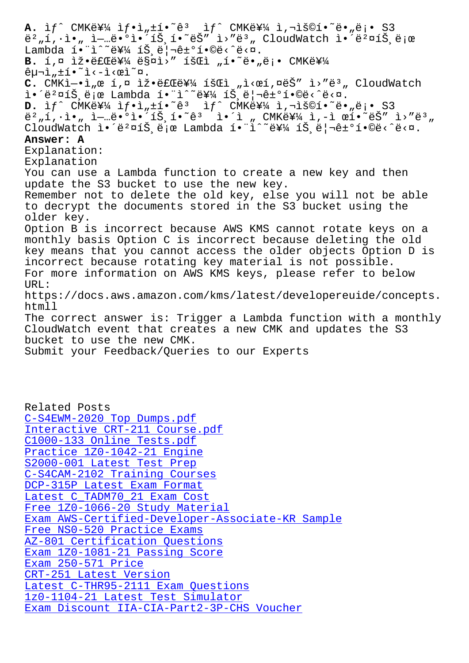$\epsilon$ ,"T',  $\epsilon$ "  $\epsilon$ ,  $\epsilon$ ,  $\epsilon$ ,  $\epsilon$ ,  $\epsilon$ )  $\epsilon$ ,  $\epsilon$ ,  $\epsilon$ ,  $\epsilon$ ,  $\epsilon$ ,  $\epsilon$ ,  $\epsilon$ ,  $\epsilon$ ,  $\epsilon$ ,  $\epsilon$ ,  $\epsilon$ ,  $\epsilon$ ,  $\epsilon$ ,  $\epsilon$ ,  $\epsilon$ ,  $\epsilon$ ,  $\epsilon$ ,  $\epsilon$ ,  $\epsilon$ ,  $\epsilon$ ,  $\epsilon$ ,  $\epsilon$ ,  $\epsilon$ ,  $\epsilon$ ,  $\epsilon$ ,  $\epsilon$ ,  $\epsilon$ ,  $\epsilon$ ,  $\epsilon$ , Lambda  $i \cdot 2 \cdot 2 \cdot 3 \cdot 4$   $i \cdot 3 \cdot 4$   $i \cdot 3 \cdot 5 \cdot 6$ B. 1,¤ ìž•ëfŒë¥¼ 매ì>" 회ì "í•~ë• "ë;• CMK를  $\hat{e}$  $\mu$  $\overline{\lambda}$ , $\pm$ í $\cdot$  $\overline{\lambda}$   $\lambda$   $\overline{\lambda}$   $\lambda$   $\overline{\lambda}$   $\overline{\lambda}$   $\overline{\lambda}$   $\overline{\lambda}$   $\overline{\lambda}$   $\overline{\lambda}$   $\overline{\lambda}$   $\overline{\lambda}$   $\overline{\lambda}$   $\overline{\lambda}$   $\overline{\lambda}$   $\overline{\lambda}$   $\overline{\lambda}$   $\overline{\lambda}$   $\overline{\lambda}$   $\overline{\lambda}$   $\overline{\lambda}$   $\overline{\lambda}$   $\$ C. CMKì-·ì, e í,¤ 잷료를 회ì<sub>,</sub>,ì<œí,¤ëŠ" ì>"ë<sup>3</sup>, CloudWatch i.'ë<sup>2</sup>¤íŠ,로 Lambda í."ì^~를 íŠ,리ê±°í.©ë<^ë<¤.  $D.$  if  $\hat{C}$  CMKë  $\frac{1}{4}$  if  $\hat{C}$  if  $\hat{C}$  CMKë  $\frac{1}{4}$  i,  $\hat{C}$  is  $\hat{C}$  i.  $\hat{C}$  i. S3 버í,·ì•" 업땰앴트í•~ꪠ ì•´ì " CMK를 ì,-ì œí•~ëŠ″ ì>″몄 CloudWatch 앴뺤트로 Lambda 함ì^~를 트리ê±°í•©ë<^ë<¤. **Answer: A** Explanation: Explanation You can use a Lambda function to create a new key and then update the S3 bucket to use the new key. Remember not to delete the old key, else you will not be able to decrypt the documents stored in the S3 bucket using the older key. Option B is incorrect because AWS KMS cannot rotate keys on a monthly basis Option C is incorrect because deleting the old key means that you cannot access the older objects Option D is incorrect because rotating key material is not possible. For more information on AWS KMS keys, please refer to below URL: https://docs.aws.amazon.com/kms/latest/developereuide/concepts. htmll The correct answer is: Trigger a Lambda function with a monthly CloudWatch event that creates a new CMK and updates the S3 bucket to use the new CMK. Submit your Feedback/Queries to our Experts

Related Posts C-S4EWM-2020 Top Dumps.pdf Interactive CRT-211 Course.pdf C1000-133 Online Tests.pdf Practice 1Z0-1042-21 Engine [S2000-001 Latest Test Prep](http://sfjbs.com/?new=C-S4EWM-2020_Top-Dumps.pdf-737384) [C-S4CAM-2102 Training Courses](http://sfjbs.com/?new=CRT-211_Interactive--Course.pdf-516162) [DCP-315P Latest Exam Format](http://sfjbs.com/?new=1Z0-1042-21_Practice--Engine-516162) [Latest C\\_TADM70\\_21 Exam Cos](http://sfjbs.com/?new=S2000-001_Latest-Test-Prep-383848)t [Free 1Z0-1066-20 Study Materia](http://sfjbs.com/?new=C-S4CAM-2102_Training-Courses-040515)l Exam AWS-Certified-Developer-Associate-KR Sample [Free NS0-520 Practice Exams](http://sfjbs.com/?new=DCP-315P_Latest-Exam-Format-050516) [AZ-801 Certification Questions](http://sfjbs.com/?new=1Z0-1066-20_Free--Study-Material-040515) [Exam 1Z0-1081-21 Passing Score](http://sfjbs.com/?new=AWS-Certified-Developer-Associate-KR_Exam--Sample-383848) Exam 250-571 Price [CRT-251 Latest Version](http://sfjbs.com/?new=NS0-520_Free--Practice-Exams-273838) [Latest C-THR95-2111 Exam Quest](http://sfjbs.com/?new=AZ-801_Certification-Questions-484050)ions [1z0-1104-21 Latest Test Simula](http://sfjbs.com/?new=1Z0-1081-21_Exam--Passing-Score-384840)tor [Exam Discount IIA-CIA-P](http://sfjbs.com/?new=CRT-251_Latest-Version-516162)art2-3P-CHS Voucher